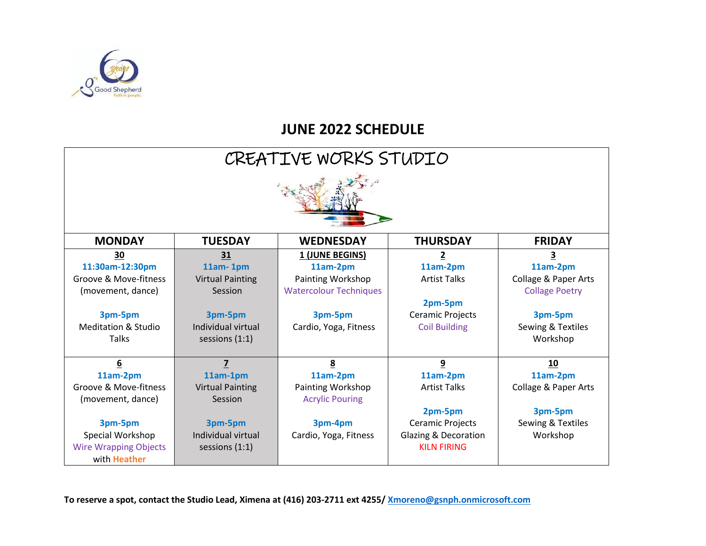

## **JUNE 2022 SCHEDULE**

| CREATIVE WORKS STUDIO          |                         |                               |                                 |                       |  |  |
|--------------------------------|-------------------------|-------------------------------|---------------------------------|-----------------------|--|--|
|                                |                         |                               |                                 |                       |  |  |
| <b>MONDAY</b>                  | <b>TUESDAY</b>          | <b>WEDNESDAY</b>              | <b>THURSDAY</b>                 | <b>FRIDAY</b>         |  |  |
| 30                             | 31                      | 1 (JUNE BEGINS)               | 2                               | 3                     |  |  |
| 11:30am-12:30pm                | $11am - 1pm$            | 11am-2pm                      | 11am-2pm                        | 11am-2pm              |  |  |
| Groove & Move-fitness          | <b>Virtual Painting</b> | Painting Workshop             | <b>Artist Talks</b>             | Collage & Paper Arts  |  |  |
| (movement, dance)              | Session                 | <b>Watercolour Techniques</b> |                                 | <b>Collage Poetry</b> |  |  |
|                                |                         |                               | 2pm-5pm                         |                       |  |  |
| 3pm-5pm                        | 3pm-5pm                 | 3pm-5pm                       | Ceramic Projects                | 3pm-5pm               |  |  |
| <b>Meditation &amp; Studio</b> | Individual virtual      | Cardio, Yoga, Fitness         | <b>Coil Building</b>            | Sewing & Textiles     |  |  |
| <b>Talks</b>                   | sessions $(1:1)$        |                               |                                 | Workshop              |  |  |
|                                |                         |                               |                                 |                       |  |  |
| 6                              | 7                       | 8                             | 9                               | 10                    |  |  |
| 11am-2pm                       | 11am-1pm                | 11am-2pm                      | 11am-2pm                        | 11am-2pm              |  |  |
| Groove & Move-fitness          | <b>Virtual Painting</b> | Painting Workshop             | <b>Artist Talks</b>             | Collage & Paper Arts  |  |  |
| (movement, dance)              | Session                 | <b>Acrylic Pouring</b>        |                                 |                       |  |  |
|                                |                         |                               | 2pm-5pm                         | 3pm-5pm               |  |  |
| 3pm-5pm                        | 3pm-5pm                 | 3pm-4pm                       | <b>Ceramic Projects</b>         | Sewing & Textiles     |  |  |
| Special Workshop               | Individual virtual      | Cardio, Yoga, Fitness         | <b>Glazing &amp; Decoration</b> | Workshop              |  |  |
| <b>Wire Wrapping Objects</b>   | sessions $(1:1)$        |                               | <b>KILN FIRING</b>              |                       |  |  |
| with <b>Heather</b>            |                         |                               |                                 |                       |  |  |

**To reserve a spot, contact the Studio Lead, Ximena at (416) 203-2711 ext 4255/ [Xmoreno@gsnph.onmicrosoft.com](mailto:Xmoreno@gsnph.onmicrosoft.com)**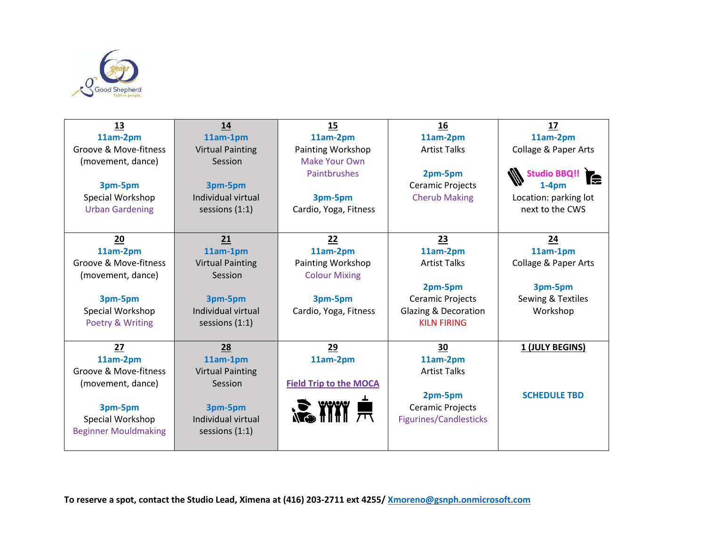

| 13                          | 14                      | 15                            | 16                              | 17                        |
|-----------------------------|-------------------------|-------------------------------|---------------------------------|---------------------------|
| 11am-2pm                    | 11am-1pm                | 11am-2pm                      | 11am-2pm                        | 11am-2pm                  |
| Groove & Move-fitness       | <b>Virtual Painting</b> | Painting Workshop             | <b>Artist Talks</b>             | Collage & Paper Arts      |
| (movement, dance)           | Session                 | <b>Make Your Own</b>          |                                 |                           |
|                             |                         | Paintbrushes                  | 2pm-5pm                         | <b>Studio BBQ!!</b><br>le |
| 3pm-5pm                     | 3pm-5pm                 |                               | Ceramic Projects                | 1-4pm                     |
| Special Workshop            | Individual virtual      | 3pm-5pm                       | <b>Cherub Making</b>            | Location: parking lot     |
| <b>Urban Gardening</b>      | sessions $(1:1)$        | Cardio, Yoga, Fitness         |                                 | next to the CWS           |
|                             |                         |                               |                                 |                           |
| 20                          | 21                      | 22                            | 23                              | 24                        |
| 11am-2pm                    | 11am-1pm                | 11am-2pm                      | 11am-2pm                        | 11am-1pm                  |
| Groove & Move-fitness       | <b>Virtual Painting</b> | Painting Workshop             | <b>Artist Talks</b>             | Collage & Paper Arts      |
| (movement, dance)           | Session                 | <b>Colour Mixing</b>          |                                 |                           |
|                             |                         |                               | 2pm-5pm                         | 3pm-5pm                   |
| 3pm-5pm                     | 3pm-5pm                 | 3pm-5pm                       | Ceramic Projects                | Sewing & Textiles         |
| Special Workshop            | Individual virtual      | Cardio, Yoga, Fitness         | <b>Glazing &amp; Decoration</b> | Workshop                  |
| Poetry & Writing            | sessions $(1:1)$        |                               | <b>KILN FIRING</b>              |                           |
|                             |                         |                               |                                 |                           |
| 27                          | 28                      | 29                            | 30                              | 1 (JULY BEGINS)           |
| 11am-2pm                    | 11am-1pm                | 11am-2pm                      | 11am-2pm                        |                           |
| Groove & Move-fitness       | <b>Virtual Painting</b> |                               | <b>Artist Talks</b>             |                           |
| (movement, dance)           | Session                 | <b>Field Trip to the MOCA</b> |                                 |                           |
|                             |                         |                               | 2pm-5pm                         | <b>SCHEDULE TBD</b>       |
| 3pm-5pm                     | 3pm-5pm                 |                               | Ceramic Projects                |                           |
| Special Workshop            | Individual virtual      |                               | <b>Figurines/Candlesticks</b>   |                           |
| <b>Beginner Mouldmaking</b> | sessions $(1:1)$        |                               |                                 |                           |
|                             |                         |                               |                                 |                           |

**To reserve a spot, contact the Studio Lead, Ximena at (416) 203-2711 ext 4255/ [Xmoreno@gsnph.onmicrosoft.com](mailto:Xmoreno@gsnph.onmicrosoft.com)**